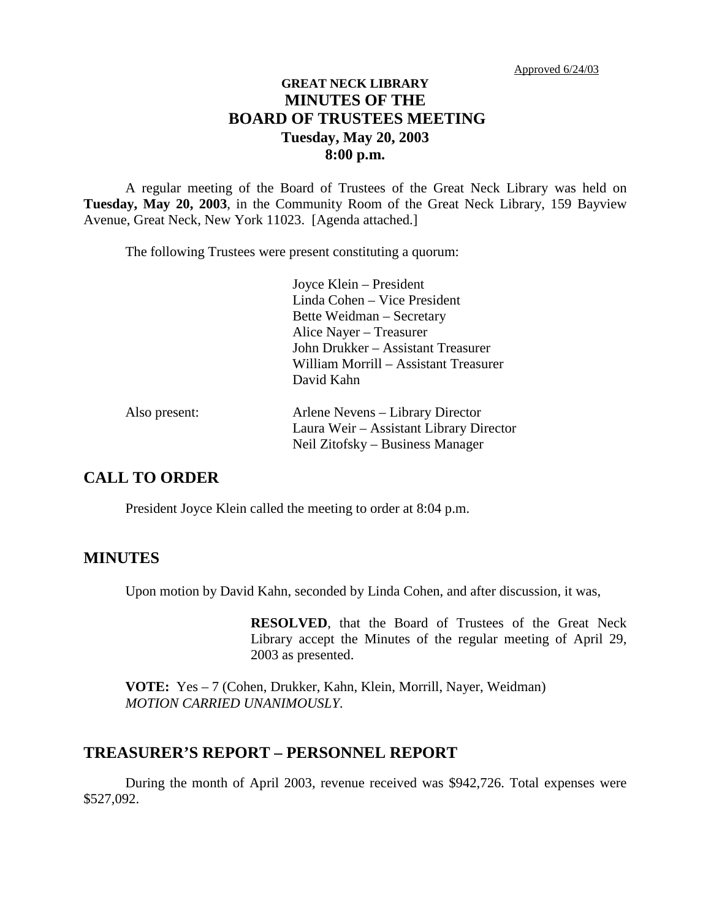# **GREAT NECK LIBRARY MINUTES OF THE BOARD OF TRUSTEES MEETING Tuesday, May 20, 2003 8:00 p.m.**

A regular meeting of the Board of Trustees of the Great Neck Library was held on **Tuesday, May 20, 2003**, in the Community Room of the Great Neck Library, 159 Bayview Avenue, Great Neck, New York 11023. [Agenda attached.]

The following Trustees were present constituting a quorum:

Joyce Klein – President Linda Cohen – Vice President Bette Weidman – Secretary Alice Nayer – Treasurer John Drukker – Assistant Treasurer William Morrill – Assistant Treasurer David Kahn

| Also present: | Arlene Nevens – Library Director        |
|---------------|-----------------------------------------|
|               | Laura Weir – Assistant Library Director |
|               | Neil Zitofsky – Business Manager        |

## **CALL TO ORDER**

President Joyce Klein called the meeting to order at 8:04 p.m.

#### **MINUTES**

Upon motion by David Kahn, seconded by Linda Cohen, and after discussion, it was,

**RESOLVED**, that the Board of Trustees of the Great Neck Library accept the Minutes of the regular meeting of April 29, 2003 as presented.

**VOTE:** Yes – 7 (Cohen, Drukker, Kahn, Klein, Morrill, Nayer, Weidman) *MOTION CARRIED UNANIMOUSLY.*

#### **TREASURER'S REPORT – PERSONNEL REPORT**

During the month of April 2003, revenue received was \$942,726. Total expenses were \$527,092.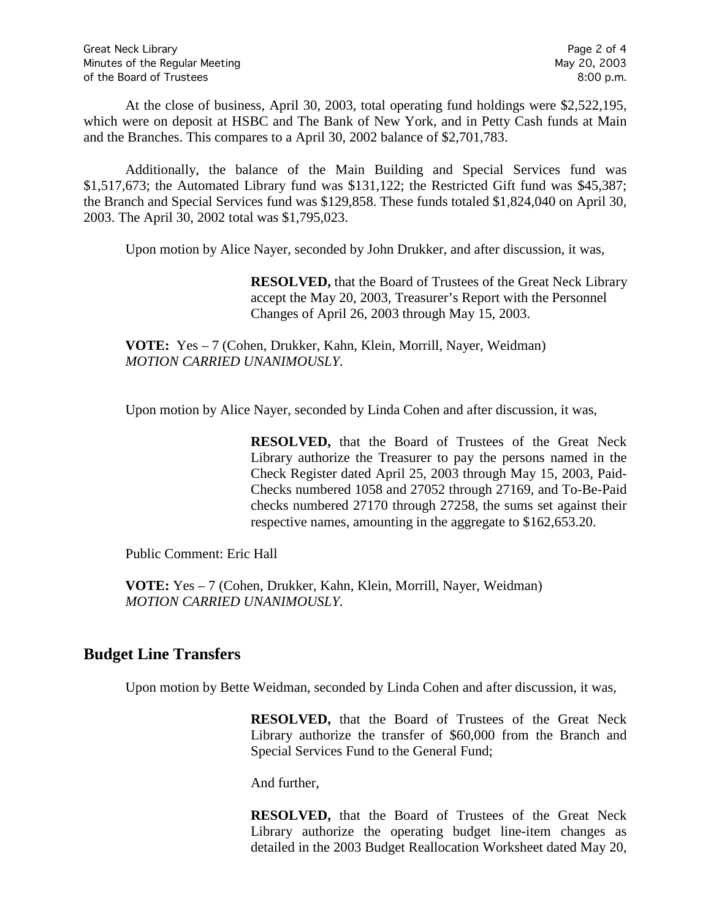At the close of business, April 30, 2003, total operating fund holdings were \$2,522,195, which were on deposit at HSBC and The Bank of New York, and in Petty Cash funds at Main and the Branches. This compares to a April 30, 2002 balance of \$2,701,783.

Additionally, the balance of the Main Building and Special Services fund was \$1,517,673; the Automated Library fund was \$131,122; the Restricted Gift fund was \$45,387; the Branch and Special Services fund was \$129,858. These funds totaled \$1,824,040 on April 30, 2003. The April 30, 2002 total was \$1,795,023.

Upon motion by Alice Nayer, seconded by John Drukker, and after discussion, it was,

**RESOLVED,** that the Board of Trustees of the Great Neck Library accept the May 20, 2003, Treasurer's Report with the Personnel Changes of April 26, 2003 through May 15, 2003.

**VOTE:** Yes – 7 (Cohen, Drukker, Kahn, Klein, Morrill, Nayer, Weidman) *MOTION CARRIED UNANIMOUSLY.*

Upon motion by Alice Nayer, seconded by Linda Cohen and after discussion, it was,

**RESOLVED,** that the Board of Trustees of the Great Neck Library authorize the Treasurer to pay the persons named in the Check Register dated April 25, 2003 through May 15, 2003, Paid-Checks numbered 1058 and 27052 through 27169, and To-Be-Paid checks numbered 27170 through 27258, the sums set against their respective names, amounting in the aggregate to \$162,653.20.

Public Comment: Eric Hall

**VOTE:** Yes – 7 (Cohen, Drukker, Kahn, Klein, Morrill, Nayer, Weidman) *MOTION CARRIED UNANIMOUSLY.*

# **Budget Line Transfers**

Upon motion by Bette Weidman, seconded by Linda Cohen and after discussion, it was,

**RESOLVED,** that the Board of Trustees of the Great Neck Library authorize the transfer of \$60,000 from the Branch and Special Services Fund to the General Fund;

And further,

**RESOLVED,** that the Board of Trustees of the Great Neck Library authorize the operating budget line-item changes as detailed in the 2003 Budget Reallocation Worksheet dated May 20,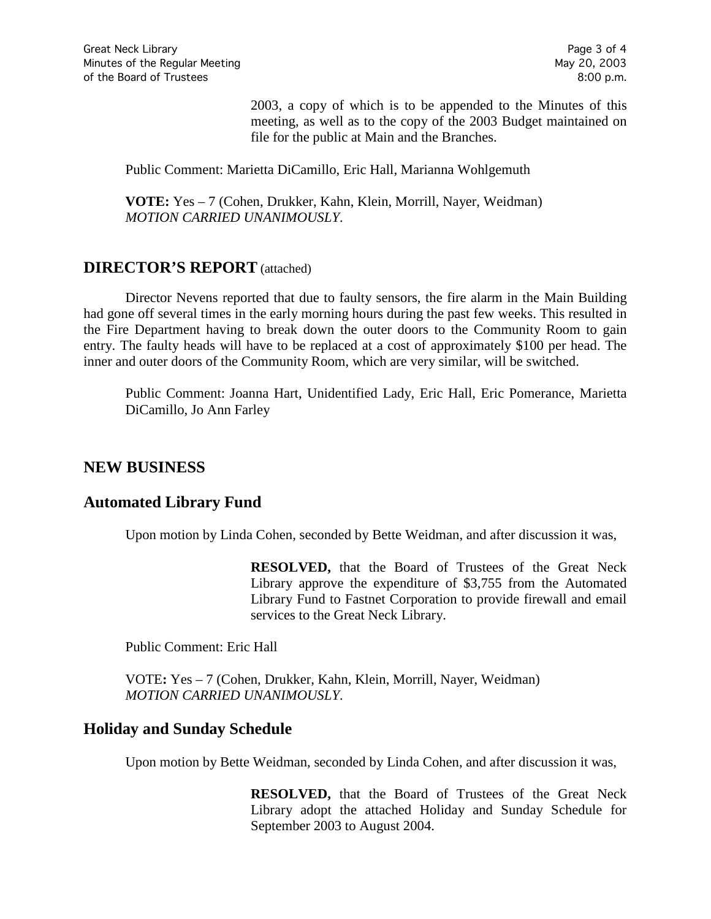2003, a copy of which is to be appended to the Minutes of this meeting, as well as to the copy of the 2003 Budget maintained on file for the public at Main and the Branches.

Public Comment: Marietta DiCamillo, Eric Hall, Marianna Wohlgemuth

**VOTE:** Yes – 7 (Cohen, Drukker, Kahn, Klein, Morrill, Nayer, Weidman) *MOTION CARRIED UNANIMOUSLY.*

#### **DIRECTOR'S REPORT** (attached)

Director Nevens reported that due to faulty sensors, the fire alarm in the Main Building had gone off several times in the early morning hours during the past few weeks. This resulted in the Fire Department having to break down the outer doors to the Community Room to gain entry. The faulty heads will have to be replaced at a cost of approximately \$100 per head. The inner and outer doors of the Community Room, which are very similar, will be switched.

Public Comment: Joanna Hart, Unidentified Lady, Eric Hall, Eric Pomerance, Marietta DiCamillo, Jo Ann Farley

#### **NEW BUSINESS**

#### **Automated Library Fund**

Upon motion by Linda Cohen, seconded by Bette Weidman, and after discussion it was,

**RESOLVED,** that the Board of Trustees of the Great Neck Library approve the expenditure of \$3,755 from the Automated Library Fund to Fastnet Corporation to provide firewall and email services to the Great Neck Library.

Public Comment: Eric Hall

VOTE**:** Yes – 7 (Cohen, Drukker, Kahn, Klein, Morrill, Nayer, Weidman) *MOTION CARRIED UNANIMOUSLY.*

# **Holiday and Sunday Schedule**

Upon motion by Bette Weidman, seconded by Linda Cohen, and after discussion it was,

**RESOLVED,** that the Board of Trustees of the Great Neck Library adopt the attached Holiday and Sunday Schedule for September 2003 to August 2004.